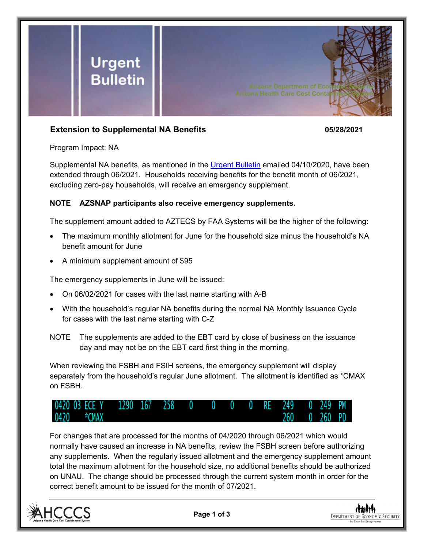

## **Extension to Supplemental NA Benefits 05/28/2021**

Program Impact: NA

Supplemental NA benefits, as mentioned in the [Urgent Bulletin](https://dbmefaapolicy.azdes.gov/FAA5/baggage/Urgent%20Bulletin%20(04-10-2020)%20-%20Supplemental%20Nutrition%20Assistance%20Benefits%20for%20Participants.pdf) emailed 04/10/2020, have been extended through 06/2021. Households receiving benefits for the benefit month of 06/2021, excluding zero-pay households, will receive an emergency supplement.

## **NOTE AZSNAP participants also receive emergency supplements.**

The supplement amount added to AZTECS by FAA Systems will be the higher of the following:

- The maximum monthly allotment for June for the household size minus the household's NA benefit amount for June
- A minimum supplement amount of \$95

The emergency supplements in June will be issued:

- On 06/02/2021 for cases with the last name starting with A-B
- With the household's regular NA benefits during the normal NA Monthly Issuance Cycle for cases with the last name starting with C-Z
- NOTE The supplements are added to the EBT card by close of business on the issuance day and may not be on the EBT card first thing in the morning.

When reviewing the FSBH and FSIH screens, the emergency supplement will display separately from the household's regular June allotment. The allotment is identified as \*CMAX on FSBH.



For changes that are processed for the months of 04/2020 through 06/2021 which would normally have caused an increase in NA benefits, review the FSBH screen before authorizing any supplements. When the regularly issued allotment and the emergency supplement amount total the maximum allotment for the household size, no additional benefits should be authorized on UNAU. The change should be processed through the current system month in order for the correct benefit amount to be issued for the month of 07/2021.



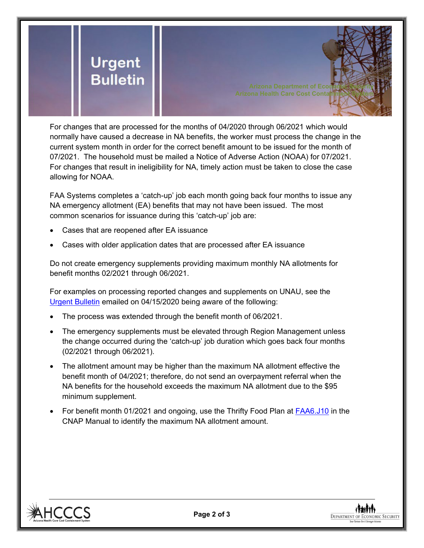

For changes that are processed for the months of 04/2020 through 06/2021 which would normally have caused a decrease in NA benefits, the worker must process the change in the current system month in order for the correct benefit amount to be issued for the month of 07/2021. The household must be mailed a Notice of Adverse Action (NOAA) for 07/2021. For changes that result in ineligibility for NA, timely action must be taken to close the case allowing for NOAA.

FAA Systems completes a 'catch-up' job each month going back four months to issue any NA emergency allotment (EA) benefits that may not have been issued. The most common scenarios for issuance during this 'catch-up' job are:

- Cases that are reopened after EA issuance
- Cases with older application dates that are processed after EA issuance

Do not create emergency supplements providing maximum monthly NA allotments for benefit months 02/2021 through 06/2021.

For examples on processing reported changes and supplements on UNAU, see the [Urgent Bulletin](https://dbmefaapolicy.azdes.gov/FAA5/baggage/Urgent%20Bulletin%20(04-15-2020)%20-%20Reported%20Changes%20and%20Supplements%20on%20UNAU.pdf) emailed on 04/15/2020 being aware of the following:

- The process was extended through the benefit month of 06/2021.
- The emergency supplements must be elevated through Region Management unless the change occurred during the 'catch-up' job duration which goes back four months (02/2021 through 06/2021).
- The allotment amount may be higher than the maximum NA allotment effective the benefit month of 04/2021; therefore, do not send an overpayment referral when the NA benefits for the household exceeds the maximum NA allotment due to the \$95 minimum supplement.
- For benefit month 01/2021 and ongoing, use the Thrifty Food Plan at **FAA6.J10** in the CNAP Manual to identify the maximum NA allotment amount.